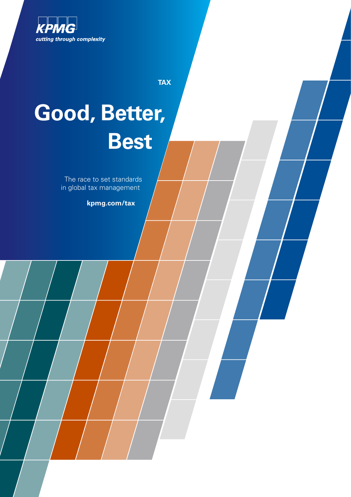

**TAX**

# **Good, Better, Best**

The race to set standards in global tax management

**kpmg.com/tax**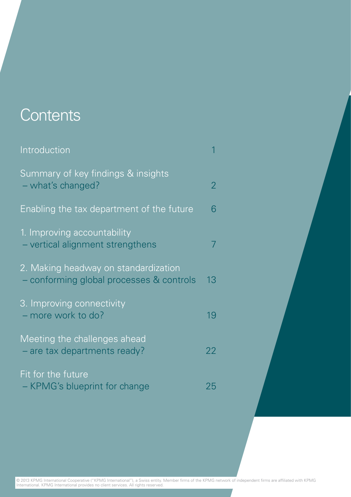## **Contents**

| Introduction                                                                        |    |
|-------------------------------------------------------------------------------------|----|
| Summary of key findings & insights<br>- what's changed?                             | 2  |
| Enabling the tax department of the future                                           | 6  |
| 1. Improving accountability<br>- vertical alignment strengthens                     |    |
| 2. Making headway on standardization<br>conforming global processes & controls<br>÷ | 13 |
| 3. Improving connectivity<br>- more work to do?                                     | 19 |
| Meeting the challenges ahead<br>- are tax departments ready?                        | 22 |
| Fit for the future<br>- KPMG's blueprint for change                                 | 25 |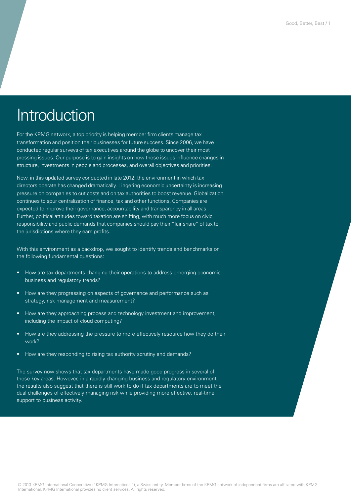## Introduction

For the KPMG network, a top priority is helping member firm clients manage tax transformation and position their businesses for future success. Since 2006, we have conducted regular surveys of tax executives around the globe to uncover their most pressing issues. Our purpose is to gain insights on how these issues influence changes in structure, investments in people and processes, and overall objectives and priorities.

Now, in this updated survey conducted in late 2012, the environment in which tax directors operate has changed dramatically. Lingering economic uncertainty is increasing pressure on companies to cut costs and on tax authorities to boost revenue. Globalization continues to spur centralization of finance, tax and other functions. Companies are expected to improve their governance, accountability and transparency in all areas. Further, political attitudes toward taxation are shifting, with much more focus on civic responsibility and public demands that companies should pay their "fair share" of tax to the jurisdictions where they earn profits.

With this environment as a backdrop, we sought to identify trends and benchmarks on the following fundamental questions:

- How are tax departments changing their operations to address emerging economic, business and regulatory trends?
- How are they progressing on aspects of governance and performance such as strategy, risk management and measurement?
- How are they approaching process and technology investment and improvement, including the impact of cloud computing?
- How are they addressing the pressure to more effectively resource how they do their work?
- How are they responding to rising tax authority scrutiny and demands?

The survey now shows that tax departments have made good progress in several of these key areas. However, in a rapidly changing business and regulatory environment, the results also suggest that there is still work to do if tax departments are to meet the dual challenges of effectively managing risk while providing more effective, real-time support to business activity.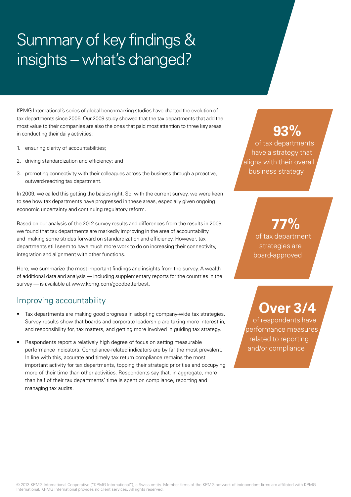# Summary of key findings & insights – what's changed?

KPMG International's series of global benchmarking studies have charted the evolution of tax departments since 2006. Our 2009 study showed that the tax departments that add the most value to their companies are also the ones that paid most attention to three key areas in conducting their daily activities:

- 1. ensuring clarity of accountabilities;
- 2. driving standardization and efficiency; and
- 3. promoting connectivity with their colleagues across the business through a proactive, outward-reaching tax department.

In 2009, we called this getting the basics right. So, with the current survey, we were keen to see how tax departments have progressed in these areas, especially given ongoing economic uncertainty and continuing regulatory reform.

Based on our analysis of the 2012 survey results and differences from the results in 2009, we found that tax departments are markedly improving in the area of accountability and making some strides forward on standardization and efficiency. However, tax departments still seem to have much more work to do on increasing their connectivity, integration and alignment with other functions.

Here, we summarize the most important findings and insights from the survey. A wealth of additional data and analysis — including supplementary reports for the countries in the survey — is available at www.kpmg.com/goodbetterbest.

#### Improving accountability

- Tax departments are making good progress in adopting company-wide tax strategies. Survey results show that boards and corporate leadership are taking more interest in, and responsibility for, tax matters, and getting more involved in guiding tax strategy.
- Respondents report a relatively high degree of focus on setting measurable performance indicators. Compliance-related indicators are by far the most prevalent. In line with this, accurate and timely tax return compliance remains the most important activity for tax departments, topping their strategic priorities and occupying more of their time than other activities. Respondents say that, in aggregate, more than half of their tax departments' time is spent on compliance, reporting and managing tax audits.

## **93%**

of tax departments have a strategy that aligns with their overall business strategy

> **77%** of tax department strategies are board-approved

## **Over 3/4**

of respondents have performance measures related to reporting and/or compliance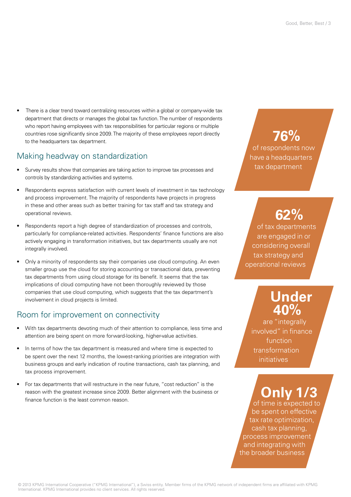• There is a clear trend toward centralizing resources within a global or company-wide tax department that directs or manages the global tax function. The number of respondents who report having employees with tax responsibilities for particular regions or multiple countries rose significantly since 2009. The majority of these employees report directly to the headquarters tax department.

#### Making headway on standardization

- Survey results show that companies are taking action to improve tax processes and controls by standardizing activities and systems.
- Respondents express satisfaction with current levels of investment in tax technology and process improvement. The majority of respondents have projects in progress in these and other areas such as better training for tax staff and tax strategy and operational reviews.
- Respondents report a high degree of standardization of processes and controls, particularly for compliance-related activities. Respondents' finance functions are also actively engaging in transformation initiatives, but tax departments usually are not integrally involved.
- Only a minority of respondents say their companies use cloud computing. An even smaller group use the cloud for storing accounting or transactional data, preventing tax departments from using cloud storage for its benefit. It seems that the tax implications of cloud computing have not been thoroughly reviewed by those companies that use cloud computing, which suggests that the tax department's involvement in cloud projects is limited.

#### Room for improvement on connectivity

- With tax departments devoting much of their attention to compliance, less time and attention are being spent on more forward-looking, higher-value activities.
- In terms of how the tax department is measured and where time is expected to be spent over the next 12 months, the lowest-ranking priorities are integration with business groups and early indication of routine transactions, cash tax planning, and tax process improvement.
- For tax departments that will restructure in the near future, "cost reduction" is the reason with the greatest increase since 2009. Better alignment with the business or finance function is the least common reason.

### **76%** of respondents now have a headquarters tax department

## **62%**

of tax departments are engaged in or considering overall tax strategy and operational reviews

## **Under 40%**

are "integrally involved" in finance function transformation initiatives

## **Only 1/3**

of time is expected to be spent on effective tax rate optimization, cash tax planning, process improvement and integrating with the broader business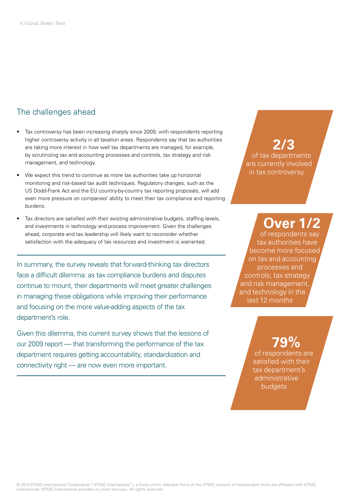#### The challenges ahead

- Tax controversy has been increasing sharply since 2009, with respondents reporting higher controversy activity in all taxation areas. Respondents say that tax authorities are taking more interest in how well tax departments are managed, for example, by scrutinizing tax and accounting processes and controls, tax strategy and risk management, and technology.
- We expect this trend to continue as more tax authorities take up horizontal monitoring and risk-based tax audit techniques. Regulatory changes, such as the US Dodd-Frank Act and the EU country-by-country tax reporting proposals, will add even more pressure on companies' ability to meet their tax compliance and reporting burdens.
- Tax directors are satisfied with their existing administrative budgets, staffing levels, and investments in technology and process improvement. Given the challenges ahead, corporate and tax leadership will likely want to reconsider whether satisfaction with the adequacy of tax resources and investment is warranted.

In summary, the survey reveals that forward-thinking tax directors face a difficult dilemma: as tax compliance burdens and disputes continue to mount, their departments will meet greater challenges in managing these obligations while improving their performance and focusing on the more value-adding aspects of the tax department's role.

Given this dilemma, this current survey shows that the lessons of our 2009 report — that transforming the performance of the tax department requires getting accountability, standardization and connectivity right — are now even more important.

#### **2/3** of tax departments are currently involved in tax controversy

## **Over 1/2**

of respondents say tax authorities have become more focused on tax and accounting processes and controls, tax strategy and risk management, and technology in the last 12 months

## **79%**

of respondents are satisfied with their tax department's administrative budgets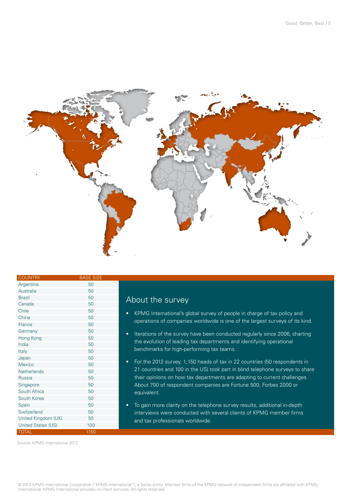

| <b>COUNTRY</b>      | <b>BASE SIZE</b> |
|---------------------|------------------|
| Argentina           | 50               |
| Australia           | 50               |
| <b>Brazil</b>       | 50               |
| Canada              | 50               |
| Chile               | 50               |
| China               | 50               |
| France              | 50               |
| Germany             | 50               |
| Hong Kong           | 50               |
| India               | 50               |
| Italy               | 50               |
| Japan               | 50               |
| Mexico              | 50               |
| Netherlands         | 50               |
| Russia              | 50               |
| Singapore           | 50               |
| South Africa        | 50               |
| South Korea         | 50               |
| Spain               | 50               |
| Switzerland         | 50               |
| United Kingdom (UK) | 50               |
| United States (US)  | 100              |
| <b>TOTAL</b>        | 1150             |

#### About the survey

- KPMG International's global survey of people in charge of tax policy and operations of companies worldwide is one of the largest surveys of its kind.
- Iterations of the survey have been conducted regularly since 2006, charting the evolution of leading tax departments and identifying operational benchmarks for high-performing tax teams.
- For the 2012 survey, 1,150 heads of tax in 22 countries (50 respondents in 21 countries and 100 in the US) took part in blind telephone surveys to share their opinions on how tax departments are adapting to current challenges. About 700 of respondent companies are Fortune 500, Forbes 2000 or equivalent.
- To gain more clarity on the telephone survey results, additional in-depth interviews were conducted with several clients of KPMG member firms and tax professionals worldwide.

Source: KPMG International 2012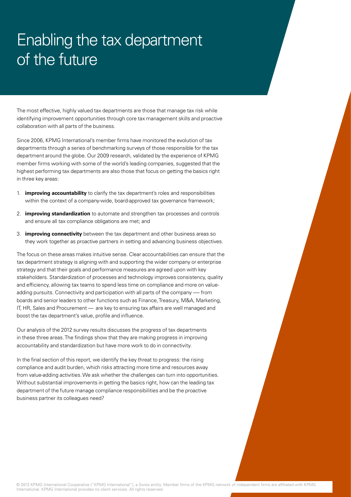# Enabling the tax department of the future

The most effective, highly valued tax departments are those that manage tax risk while identifying improvement opportunities through core tax management skills and proactive collaboration with all parts of the business.

Since 2006, KPMG International's member firms have monitored the evolution of tax departments through a series of benchmarking surveys of those responsible for the tax department around the globe. Our 2009 research, validated by the experience of KPMG member firms working with some of the world's leading companies, suggested that the highest performing tax departments are also those that focus on getting the basics right in three key areas:

- 1. **improving accountability** to clarify the tax department's roles and responsibilities within the context of a company-wide, board-approved tax governance framework;
- 2. **improving standardization** to automate and strengthen tax processes and controls and ensure all tax compliance obligations are met; and
- 3. **improving connectivity** between the tax department and other business areas so they work together as proactive partners in setting and advancing business objectives.

The focus on these areas makes intuitive sense. Clear accountabilities can ensure that the tax department strategy is aligning with and supporting the wider company or enterprise strategy and that their goals and performance measures are agreed upon with key stakeholders. Standardization of processes and technology improves consistency, quality and efficiency, allowing tax teams to spend less time on compliance and more on valueadding pursuits. Connectivity and participation with all parts of the company -— from boards and senior leaders to other functions such as Finance, Treasury, M&A, Marketing, IT, HR, Sales and Procurement — are key to ensuring tax affairs are well managed and boost the tax department's value, profile and influence.

Our analysis of the 2012 survey results discusses the progress of tax departments in these three areas. The findings show that they are making progress in improving accountability and standardization but have more work to do in connectivity.

In the final section of this report, we identify the key threat to progress: the rising compliance and audit burden, which risks attracting more time and resources away from value-adding activities. We ask whether the challenges can turn into opportunities. Without substantial improvements in getting the basics right, how can the leading tax department of the future manage compliance responsibilities and be the proactive business partner its colleagues need?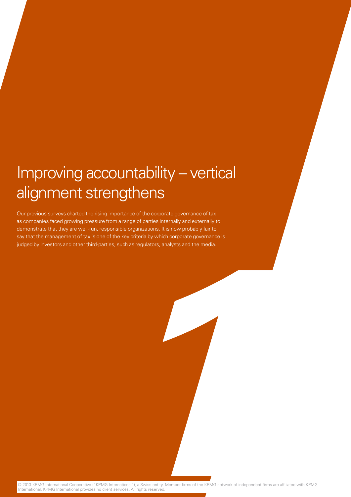# Improving accountability – vertical alignment strengthens

Our previous surveys charted the rising importance of the corporate governance of tax as companies faced growing pressure from a range of parties internally and externally to demonstrate that they are well-run, responsible organizations. It is now probably fair to say that the management of tax is one of the key criteria by which corporate governance is judged by investors and other third-parties, such as regulators, analysts and the media.

© 2013 KPMG International Cooperative ("KPMG International"), a Swiss entity. Member firms of the KPMG network of independent firms are affiliated with KPMG International. KPMG International provides no client services. All rights reserved.

**1**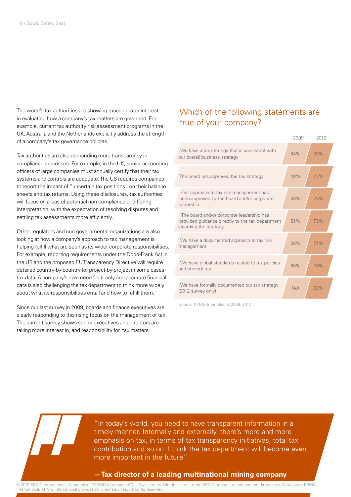The world's tax authorities are showing much greater interest in evaluating how a company's tax matters are governed. For example, current tax authority risk assessment programs in the UK, Australia and the Netherlands explicitly address the strength of a company's tax governance policies.

Tax authorities are also demanding more transparency in compliance processes. For example, in the UK, senior accounting officers of large companies must annually certify that their tax systems and controls are adequate. The US requires companies to report the impact of "uncertain tax positions" on their balance sheets and tax returns. Using these disclosures, tax authorities will focus on areas of potential non-compliance or differing interpretation, with the expectation of resolving disputes and settling tax assessments more efficiently.

Other regulators and non-governmental organizations are also looking at how a company's approach to tax management is helping fulfill what are seen as its wider corporate responsibilities. For example, reporting requirements under the Dodd-Frank Act in the US and the proposed EU Transparency Directive will require detailed country-by-country (or project-by-project in some cases) tax data. A company's own need for timely and accurate financial data is also challenging the tax department to think more widely about what its responsibilities entail and how to fulfill them.

Since our last survey in 2009, boards and finance executives are clearly responding to this rising focus on the management of tax. The current survey shows senior executives and directors are taking more interest in, and responsibility for, tax matters.

#### Which of the following statements are true of your company?

|                                                                                                                         | 2009 | 2012 |
|-------------------------------------------------------------------------------------------------------------------------|------|------|
| We have a tax strategy that is consistent with<br>our overall business strategy                                         | 84%  | 93%  |
| The board has approved the tax strategy                                                                                 | 48%  | 77%  |
| Our approach to tax risk management has<br>been approved by the board and/or corporate<br>leadership                    | 48%  | 75%  |
| The board and/or corporate leadership has<br>provided guidance directly to the tax department<br>regarding the strategy | 51%  | 73%  |
| We have a documented approach to tax risk<br>management                                                                 | 66%  | 71%  |
| We have global standards related to tax policies<br>and procedures                                                      | 60%  | 70%  |
| We have formally documented our tax strategy<br>(2012 survey only)                                                      | N/A  | 63%  |

Source: KPMG International 2009, 2012

"In today's world, you need to have transparent information in a timely manner. Internally and externally, there's more and more emphasis on tax, in terms of tax transparency initiatives, total tax contribution and so on. I think the tax department will become even more important in the future."

#### **—Tax director of a leading multinational mining company**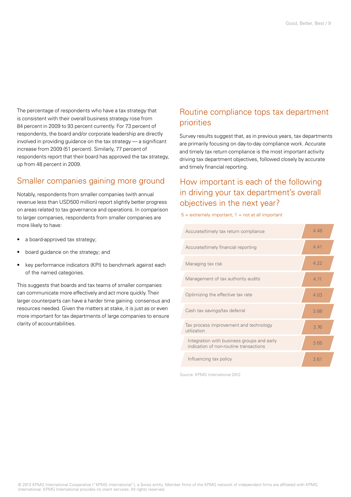The percentage of respondents who have a tax strategy that is consistent with their overall business strategy rose from 84 percent in 2009 to 93 percent currently. For 73 percent of respondents, the board and/or corporate leadership are directly involved in providing guidance on the tax strategy — a significant increase from 2009 (51 percent). Similarly, 77 percent of respondents report that their board has approved the tax strategy, up from 48 percent in 2009.

### Smaller companies gaining more ground

Notably, respondents from smaller companies (with annual revenue less than USD500 million) report slightly better progress on areas related to tax governance and operations. In comparison to larger companies, respondents from smaller companies are more likely to have:

- a board-approved tax strategy;
- board guidance on the strategy; and
- key performance indicators (KPI) to benchmark against each of the named categories.

This suggests that boards and tax teams of smaller companies can communicate more effectively and act more quickly. Their larger counterparts can have a harder time gaining consensus and resources needed. Given the matters at stake, it is just as or even more important for tax departments of large companies to ensure clarity of accountabilities.

### Routine compliance tops tax department priorities

Survey results suggest that, as in previous years, tax departments are primarily focusing on day-to-day compliance work. Accurate and timely tax return compliance is the most important activity driving tax department objectives, followed closely by accurate and timely financial reporting.

### How important is each of the following in driving your tax department's overall objectives in the next year?

 $5 =$  extremely important;  $1 =$  not at all important



Source: KPMG International 2012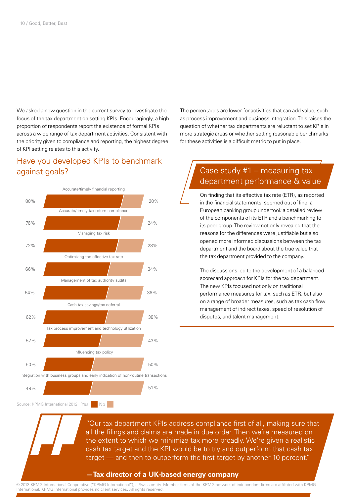We asked a new question in the current survey to investigate the focus of the tax department on setting KPIs. Encouragingly, a high proportion of respondents report the existence of formal KPIs across a wide range of tax department activities. Consistent with the priority given to compliance and reporting, the highest degree of KPI setting relates to this activity.

#### Have you developed KPIs to benchmark against goals?



Source: KPMG International 2012 Yes No

The percentages are lower for activities that can add value, such as process improvement and business integration. This raises the question of whether tax departments are reluctant to set KPIs in more strategic areas or whether setting reasonable benchmarks for these activities is a difficult metric to put in place.

### Case study #1 – measuring tax department performance & value

On finding that its effective tax rate (ETR), as reported in the financial statements, seemed out of line, a European banking group undertook a detailed review of the components of its ETR and a benchmarking to its peer group. The review not only revealed that the reasons for the differences were justifiable but also opened more informed discussions between the tax department and the board about the true value that the tax department provided to the company.

The discussions led to the development of a balanced scorecard approach for KPIs for the tax department. The new KPIs focused not only on traditional performance measures for tax, such as ETR, but also on a range of broader measures, such as tax cash flow management of indirect taxes, speed of resolution of disputes, and talent management.

"Our tax department KPIs address compliance first of all, making sure that all the filings and claims are made in due order. Then we're measured on the extent to which we minimize tax more broadly. We're given a realistic cash tax target and the KPI would be to try and outperform that cash tax target — and then to outperform the first target by another 10 percent."

#### **—Tax director of a UK-based energy company**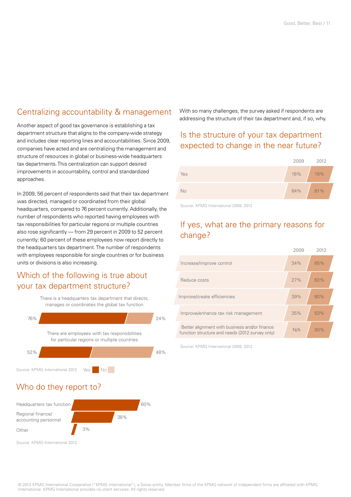#### Centralizing accountability & management

Another aspect of good tax governance is establishing a tax department structure that aligns to the company-wide strategy and includes clear reporting lines and accountabilities. Since 2009, companies have acted and are centralizing the management and structure of resources in global or business-wide headquarters tax departments. This centralization can support desired improvements in accountability, control and standardized approaches.

In 2009, 56 percent of respondents said that their tax department was directed, managed or coordinated from their global headquarters, compared to 76 percent currently. Additionally, the number of respondents who reported having employees with tax responsibilities for particular regions or multiple countries also rose significantly — from 29 percent in 2009 to 52 percent currently; 60 percent of these employees now report directly to the headquarters tax department. The number of respondents with employees responsible for single countries or for business units or divisions is also increasing.

#### Which of the following is true about your tax department structure?

There is a headquarters tax department that directs, manages or coordinates the global tax function



With so many challenges, the survey asked if respondents are addressing the structure of their tax department and, if so, why.

#### Is the structure of your tax department expected to change in the near future?



Source: KPMG International 2009, 2012

### If yes, what are the primary reasons for change?

|                                                                                                  | 2009 | 2012 |
|--------------------------------------------------------------------------------------------------|------|------|
| Increase/improve control                                                                         | 34%  | 65%  |
| Reduce costs                                                                                     | 27%  | 63%  |
| Improve/create efficiencies                                                                      | 39%  | 60%  |
| Improve/enhance tax risk management                                                              | 35%  | 53%  |
| Better alignment with business and/or finance<br>function structure and needs (2012 survey only) | N/A  | 50%  |

Source: KPMG International 2009, 2012

### Who do they report to?

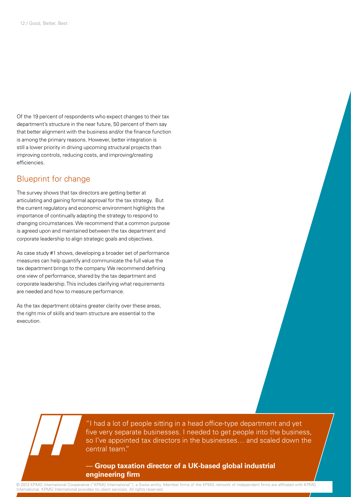Of the 19 percent of respondents who expect changes to their tax department's structure in the near future, 50 percent of them say that better alignment with the business and/or the finance function is among the primary reasons. However, better integration is still a lower priority in driving upcoming structural projects than improving controls, reducing costs, and improving/creating efficiencies.

#### Blueprint for change

The survey shows that tax directors are getting better at articulating and gaining formal approval for the tax strategy. But the current regulatory and economic environment highlights the importance of continually adapting the strategy to respond to changing circumstances. We recommend that a common purpose is agreed upon and maintained between the tax department and corporate leadership to align strategic goals and objectives.

As case study #1 shows, developing a broader set of performance measures can help quantify and communicate the full value the tax department brings to the company. We recommend defining one view of performance, shared by the tax department and corporate leadership. This includes clarifying what requirements are needed and how to measure performance.

As the tax department obtains greater clarity over these areas, the right mix of skills and team structure are essential to the execution.

> "I had a lot of people sitting in a head office-type department and yet five very separate businesses. I needed to get people into the business, so I've appointed tax directors in the businesses… and scaled down the central team."

#### — **Group taxation director of a UK-based global industrial engineering firm**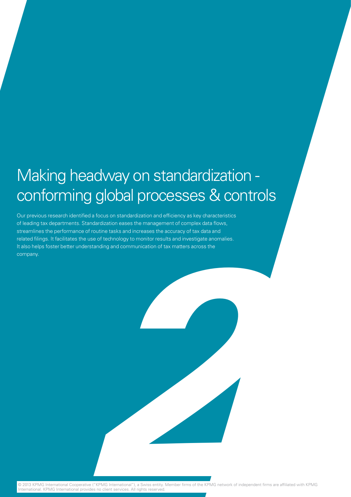# Making headway on standardization conforming global processes & controls

Our previous research identified a focus on standardization and efficiency as key characteristics of leading tax departments. Standardization eases the management of complex data flows, streamlines the performance of routine tasks and increases the accuracy of tax data and related filings. It facilitates the use of technology to monitor results and investigate anomalies. It also helps foster better understanding and communication of tax matters across the company.

© 2013 KPMG International Cooperative ("KPMG International"), a Swiss entity. Member firms of the KPMG network of independent firms are affiliated with KPMG International. KPMG International provides no client services. All rights reserved.

**2**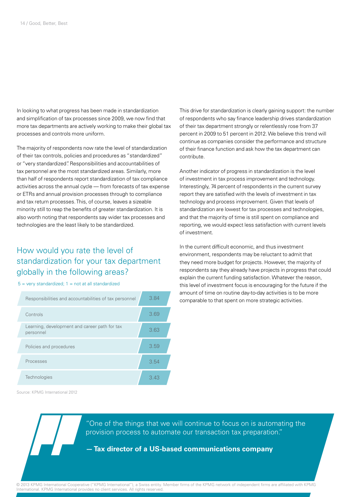In looking to what progress has been made in standardization and simplification of tax processes since 2009, we now find that more tax departments are actively working to make their global tax processes and controls more uniform.

The majority of respondents now rate the level of standardization of their tax controls, policies and procedures as "standardized" or "very standardized". Responsibilities and accountabilities of tax personnel are the most standardized areas. Similarly, more than half of respondents report standardization of tax compliance activities across the annual cycle — from forecasts of tax expense or ETRs and annual provision processes through to compliance and tax return processes. This, of course, leaves a sizeable minority still to reap the benefits of greater standardization. It is also worth noting that respondents say wider tax processes and technologies are the least likely to be standardized.

### How would you rate the level of standardization for your tax department globally in the following areas?

 $5 =$  very standardized;  $1 =$  not at all standardized

| Responsibilities and accountabilities of tax personnel     | 3.84 |
|------------------------------------------------------------|------|
| Controls                                                   | 3.69 |
| Learning, development and career path for tax<br>personnel | 3.63 |
| Policies and procedures                                    | 3.59 |
| Processes                                                  | 3.54 |
| Technologies                                               | 3.43 |

Source: KPMG International 2012

This drive for standardization is clearly gaining support: the number of respondents who say finance leadership drives standardization of their tax department strongly or relentlessly rose from 37 percent in 2009 to 51 percent in 2012. We believe this trend will continue as companies consider the performance and structure of their finance function and ask how the tax department can contribute.

Another indicator of progress in standardization is the level of investment in tax process improvement and technology. Interestingly, 74 percent of respondents in the current survey report they are satisfied with the levels of investment in tax technology and process improvement. Given that levels of standardization are lowest for tax processes and technologies, and that the majority of time is still spent on compliance and reporting, we would expect less satisfaction with current levels of investment.

In the current difficult economic, and thus investment environment, respondents may be reluctant to admit that they need more budget for projects. However, the majority of respondents say they already have projects in progress that could explain the current funding satisfaction. Whatever the reason, this level of investment focus is encouraging for the future if the amount of time on routine day-to-day activities is to be more comparable to that spent on more strategic activities.

"One of the things that we will continue to focus on is automating the provision process to automate our transaction tax preparation."

#### **— Tax director of a US-based communications company**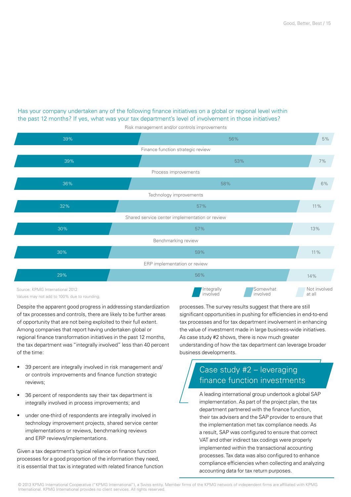#### Has your company undertaken any of the following finance initiatives on a global or regional level within the past 12 months? If yes, what was your tax department's level of involvement in those initiatives?



Risk management and/or controls improvements

Values may not add to 100% due to rounding.

Despite the apparent good progress in addressing standardization of tax processes and controls, there are likely to be further areas of opportunity that are not being exploited to their full extent. Among companies that report having undertaken global or regional finance transformation initiatives in the past 12 months, the tax department was "integrally involved" less than 40 percent of the time:

- 39 percent are integrally involved in risk management and/ or controls improvements and finance function strategic reviews;
- 36 percent of respondents say their tax department is integrally involved in process improvements; and
- under one-third of respondents are integrally involved in technology improvement projects, shared service center implementations or reviews, benchmarking reviews and ERP reviews/implementations.

Given a tax department's typical reliance on finance function processes for a good proportion of the information they need, it is essential that tax is integrated with related finance function processes. The survey results suggest that there are still significant opportunities in pushing for efficiencies in end-to-end tax processes and for tax department involvement in enhancing the value of investment made in large business-wide initiatives. As case study #2 shows, there is now much greater understanding of how the tax department can leverage broader business developments.

## Case study #2 – leveraging finance function investments

A leading international group undertook a global SAP implementation. As part of the project plan, the tax department partnered with the finance function, their tax advisers and the SAP provider to ensure that the implementation met tax compliance needs. As a result, SAP was configured to ensure that correct VAT and other indirect tax codings were properly implemented within the transactional accounting processes. Tax data was also configured to enhance compliance efficiencies when collecting and analyzing accounting data for tax return purposes.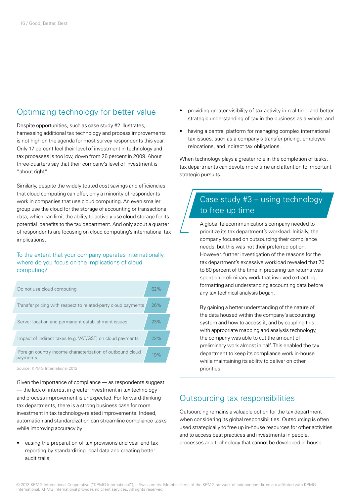### Optimizing technology for better value

Despite opportunities, such as case study #2 illustrates, harnessing additional tax technology and process improvements is not high on the agenda for most survey respondents this year. Only 17 percent feel their level of investment in technology and tax processes is too low, down from 26 percent in 2009. About three-quarters say that their company's level of investment is "about right".

Similarly, despite the widely touted cost savings and efficiencies that cloud computing can offer, only a minority of respondents work in companies that use cloud computing. An even smaller group use the cloud for the storage of accounting or transactional data, which can limit the ability to actively use cloud storage for its potential benefits to the tax department. And only about a quarter of respondents are focusing on cloud computing's international tax implications.

To the extent that your company operates internationally, where do you focus on the implications of cloud computing?

| Do not use cloud computing                                            | 62% |  |
|-----------------------------------------------------------------------|-----|--|
| Transfer pricing with respect to related-party cloud payments         | 26% |  |
| Server location and permanent establishment issues                    | 23% |  |
| Impact of indirect taxes (e.g. VAT/GST) on cloud payments             | 22% |  |
| Foreign country income characterization of outbound cloud<br>payments | 19% |  |
|                                                                       |     |  |

Source: KPMG International 2012

Given the importance of compliance — as respondents suggest — the lack of interest in greater investment in tax technology and process improvement is unexpected. For forward-thinking tax departments, there is a strong business case for more investment in tax technology-related improvements. Indeed, automation and standardization can streamline compliance tasks while improving accuracy by:

• easing the preparation of tax provisions and year end tax reporting by standardizing local data and creating better audit trails;

- providing greater visibility of tax activity in real time and better strategic understanding of tax in the business as a whole; and
- having a central platform for managing complex international tax issues, such as a company's transfer pricing, employee relocations, and indirect tax obligations.

When technology plays a greater role in the completion of tasks, tax departments can devote more time and attention to important strategic pursuits.

### Case study #3 – using technology to free up time

A global telecommunications company needed to prioritize its tax department's workload. Initially, the company focused on outsourcing their compliance needs, but this was not their preferred option. However, further investigation of the reasons for the tax department's excessive workload revealed that 70 to 80 percent of the time in preparing tax returns was spent on preliminary work that involved extracting, formatting and understanding accounting data before any tax technical analysis began.

By gaining a better understanding of the nature of the data housed within the company's accounting system and how to access it, and by coupling this with appropriate mapping and analysis technology, the company was able to cut the amount of preliminary work almost in half. This enabled the tax department to keep its compliance work in-house while maintaining its ability to deliver on other priorities.

#### Outsourcing tax responsibilities

Outsourcing remains a valuable option for the tax department when considering its global responsibilities. Outsourcing is often used strategically to free up in-house resources for other activities and to access best practices and investments in people, processes and technology that cannot be developed in-house.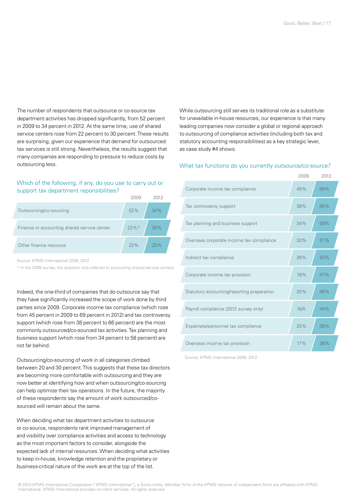The number of respondents that outsource or co-source tax department activities has dropped significantly, from 52 percent in 2009 to 34 percent in 2012. At the same time, use of shared service centers rose from 22 percent to 30 percent. These results are surprising, given our experience that demand for outsourced tax services is still strong. Nevertheless, the results suggest that many companies are responding to pressure to reduce costs by outsourcing less.

#### Which of the following, if any, do you use to carry out or support tax department reponsibilities?

|                                             |          | 2012 |  |
|---------------------------------------------|----------|------|--|
| Outsourcing/co-sourcing                     | 52%      | 34%  |  |
| Finance or accounting shared service center | $22\%$ * | 30%  |  |
| Other finance resource                      | 22%      | 25%  |  |

Source: KPMG International 2009, 2012

\* In the 2009 survey, the question only referred to accounting shared service centers

Indeed, the one-third of companies that do outsource say that they have significantly increased the scope of work done by third parties since 2009. Corporate income tax compliance (which rose from 45 percent in 2009 to 69 percent in 2012) and tax controversy support (which rose from 38 percent to 66 percent) are the most commonly outsourced/co-sourced tax activities. Tax planning and business support (which rose from 34 percent to 58 percent) are not far behind.

Outsourcing/co-sourcing of work in all categories climbed between 20 and 30 percent. This suggests that these tax directors are becoming more comfortable with outsourcing and they are now better at identifying how and when outsourcing/co-sourcing can help optimize their tax operations. In the future, the majority of these respondents say the amount of work outsourced/cosourced will remain about the same.

When deciding what tax department activities to outsource or co-source, respondents rank improved management of and visibility over compliance activities and access to technology as the most important factors to consider, alongside the expected lack of internal resources. When deciding what activities to keep in-house, knowledge retention and the proprietary or business-critical nature of the work are at the top of the list.

While outsourcing still serves its traditional role as a substitute for unavailable in-house resources, our experience is that many leading companies now consider a global or regional approach to outsourcing of compliance activities (including both tax and statutory accounting responsibilities) as a key strategic lever, as case study #4 shows.

#### What tax functions do you currently outsource/co-source?

|                                            | 2009 | 2012 |
|--------------------------------------------|------|------|
| Corporate income tax compliance            | 45%  | 69%  |
| Tax controversy support                    | 38%  | 66%  |
| Tax planning and business support          | 34%  | 58%  |
| Overseas corporate income tax compliance   | 32%  | 51%  |
| Indirect tax compliance                    | 26%  | 50%  |
| Corporate income tax provision             | 18%  | 47%  |
| Statutory accounting/reporting preparation | 20%  | 46%  |
| Payroll compliance (2012 survey only)      | N/A  | 44%  |
| Expatriate/personnel tax compliance        | 25%  | 38%  |
| Overseas income tax provision              | 17%  | 36%  |

Source: KPMG International 2009, 2012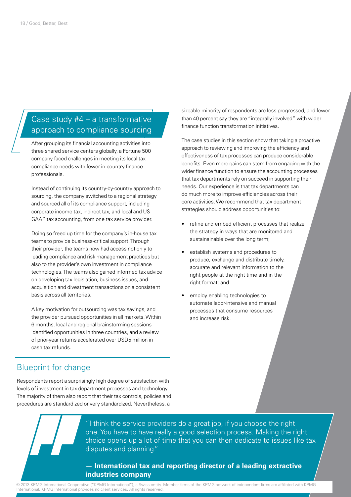#### Case study #4 – a transformative approach to compliance sourcing

After grouping its financial accounting activities into three shared service centers globally, a Fortune 500 company faced challenges in meeting its local tax compliance needs with fewer in-country finance professionals.

Instead of continuing its country-by-country approach to sourcing, the company switched to a regional strategy and sourced all of its compliance support, including corporate income tax, indirect tax, and local and US GAAP tax accounting, from one tax service provider.

Doing so freed up time for the company's in-house tax teams to provide business-critical support. Through their provider, the teams now had access not only to leading compliance and risk management practices but also to the provider's own investment in compliance technologies. The teams also gained informed tax advice on developing tax legislation, business issues, and acquisition and divestment transactions on a consistent basis across all territories.

A key motivation for outsourcing was tax savings, and the provider pursued opportunities in all markets. Within 6 months, local and regional brainstorming sessions identified opportunities in three countries, and a review of prior-year returns accelerated over USD5 million in cash tax refunds.

#### Blueprint for change

Respondents report a surprisingly high degree of satisfaction with levels of investment in tax department processes and technology. The majority of them also report that their tax controls, policies and procedures are standardized or very standardized. Nevertheless, a

sizeable minority of respondents are less progressed, and fewer than 40 percent say they are "integrally involved" with wider finance function transformation initiatives.

The case studies in this section show that taking a proactive approach to reviewing and improving the efficiency and effectiveness of tax processes can produce considerable benefits. Even more gains can stem from engaging with the wider finance function to ensure the accounting processes that tax departments rely on succeed in supporting their needs. Our experience is that tax departments can do much more to improve efficiencies across their core activities. We recommend that tax department strategies should address opportunities to:

- refine and embed efficient processes that realize the strategy in ways that are monitored and sustainainable over the long term;
- establish systems and procedures to produce, exchange and distribute timely, accurate and relevant information to the right people at the right time and in the right format; and
- employ enabling technologies to automate labor-intensive and manual processes that consume resources and increase risk.

"I think the service providers do a great job, if you choose the right one. You have to have really a good selection process. Making the right choice opens up a lot of time that you can then dedicate to issues like tax disputes and planning."

#### **— International tax and reporting director of a leading extractive industries company**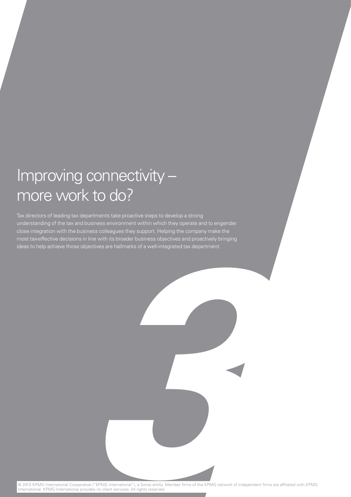# Improving connectivity – more work to do?

Tax directors of leading tax departments take proactive steps to develop a strong understanding of the tax and business environment within which they operate and to engender close integration with the business colleagues they support. Helping the company make the most tax-effective decisions in line with its broader business objectives and proactively bringing ideas to help achieve those objectives are hallmarks of a well-integrated tax department.

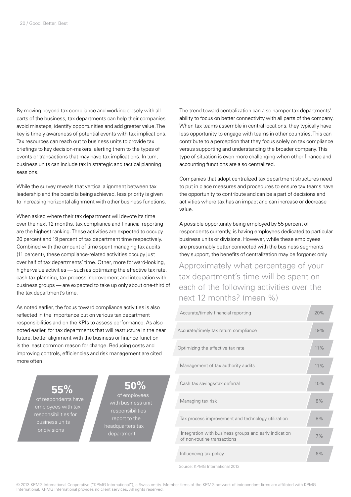By moving beyond tax compliance and working closely with all parts of the business, tax departments can help their companies avoid missteps, identify opportunities and add greater value. The key is timely awareness of potential events with tax implications. Tax resources can reach out to business units to provide tax briefings to key decision-makers, alerting them to the types of events or transactions that may have tax implications. In turn, business units can include tax in strategic and tactical planning sessions.

While the survey reveals that vertical alignment between tax leadership and the board is being achieved, less priority is given to increasing horizontal alignment with other business functions.

When asked where their tax department will devote its time over the next 12 months, tax compliance and financial reporting are the highest ranking. These activities are expected to occupy 20 percent and 19 percent of tax department time respectively. Combined with the amount of time spent managing tax audits (11 percent), these compliance-related activities occupy just over half of tax departments' time. Other, more forward-looking, higher-value activities — such as optimizing the effective tax rate, cash tax planning, tax process improvement and integration with business groups — are expected to take up only about one-third of the tax department's time.

As noted earlier, the focus toward compliance activities is also reflected in the importance put on various tax department responsibilities and on the KPIs to assess performance. As also noted earlier, for tax departments that will restructure in the near future, better alignment with the business or finance function is the least common reason for change. Reducing costs and improving controls, efficiencies and risk management are cited more often.

> **55%** of respondents have employees with tax responsibilities for

or divisions

**50%**  of employees with business unit responsibilities report to the headquarters tax department

The trend toward centralization can also hamper tax departments' ability to focus on better connectivity with all parts of the company. When tax teams assemble in central locations, they typically have less opportunity to engage with teams in other countries. This can contribute to a perception that they focus solely on tax compliance versus supporting and understanding the broader company. This type of situation is even more challenging when other finance and accounting functions are also centralized.

Companies that adopt centralized tax department structures need to put in place measures and procedures to ensure tax teams have the opportunity to contribute and can be a part of decisions and activities where tax has an impact and can increase or decrease value.

A possible opportunity being employed by 55 percent of respondents currently, is having employees dedicated to particular business units or divisions. However, while these employees are presumably better connected with the business segments they support, the benefits of centralization may be forgone: only

Approximately what percentage of your tax department's time will be spent on each of the following activities over the next 12 months? (mean %)



Source: KPMG International 2012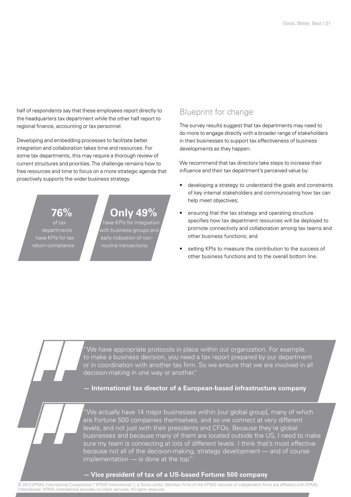half of respondents say that these employees report directly to the headquarters tax department while the other half report to regional finance, accounting or tax personnel.

Developing and embedding processes to facilitate better integration and collaboration takes time and resources. For some tax departments, this may require a thorough review of current structures and priorities. The challenge remains how to free resources and time to focus on a more strategic agenda that proactively supports the wider business strategy.

of tax departments have KPIs for tax

**76%**

## **Only 49%**

have KPIs for integration with business groups and early indication of non-

#### Blueprint for change

The survey results suggest that tax departments may need to do more to engage directly with a broader range of stakeholders in their businesses to support tax effectiveness of business developments as they happen.

We recommend that tax directors take steps to increase their influence and their tax department's perceived value by:

- developing a strategy to understand the goals and constraints of key internal stakeholders and communicating how tax can help meet objectives;
- ensuring that the tax strategy and operating structure specifies how tax department resources will be deployed to promote connectivity and collaboration among tax teams and other business functions; and
- setting KPIs to measure the contribution to the success of other business functions and to the overall bottom line.

"We have appropriate protocols in place within our organization. For example, to make a business decision, you need a tax report prepared by our department or in coordination with another tax firm. So we ensure that we are involved in all decision-making in one way or another."

**— International tax director of a European-based infrastructure company** 

"We actually have 14 major businesses within [our global group], many of which are Fortune 500 companies themselves, and so we connect at very different levels, and not just with their presidents and CFOs. Because they're global businesses and because many of them are located outside the US, I need to make sure my team is connecting at lots of different levels. I think that's most effective because not all of the decision-making, strategy development — and of course implementation — is done at the top."

#### **— Vice president of tax of a US-based Fortune 500 company**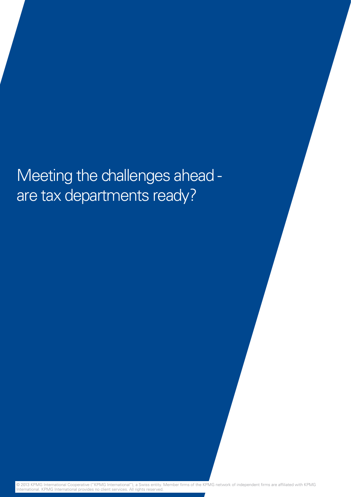# Meeting the challenges ahead are tax departments ready?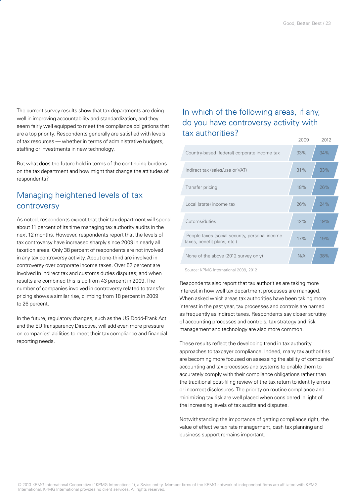The current survey results show that tax departments are doing well in improving accountability and standardization, and they seem fairly well equipped to meet the compliance obligations that are a top priority. Respondents generally are satisfied with levels of tax resources — whether in terms of administrative budgets, staffing or investments in new technology.

But what does the future hold in terms of the continuing burdens on the tax department and how might that change the attitudes of respondents?

### Managing heightened levels of tax controversy

As noted, respondents expect that their tax department will spend about 11 percent of its time managing tax authority audits in the next 12 months. However, respondents report that the levels of tax controversy have increased sharply since 2009 in nearly all taxation areas. Only 38 percent of respondents are not involved in any tax controversy activity. About one-third are involved in controversy over corporate income taxes. Over 52 percent are involved in indirect tax and customs duties disputes; and when results are combined this is up from 43 percent in 2009. The number of companies involved in controversy related to transfer pricing shows a similar rise, climbing from 18 percent in 2009 to 26 percent.

In the future, regulatory changes, such as the US Dodd-Frank Act and the EU Transparency Directive, will add even more pressure on companies' abilities to meet their tax compliance and financial reporting needs.

#### In which of the following areas, if any, do you have controversy activity with tax authorities? 2009 2012

| Country-based (federal) corporate income tax                                  | 33% | 34% |
|-------------------------------------------------------------------------------|-----|-----|
| Indirect tax (sales/use or VAT)                                               | 31% | 33% |
| Transfer pricing                                                              | 18% | 26% |
| Local (state) income tax                                                      | 26% | 24% |
| Cutoms/duties                                                                 | 12% | 19% |
| People taxes (social security, personal income<br>taxes, benefit plans, etc.) | 17% | 19% |
| None of the above (2012 survey only)                                          | N/A | 38% |
|                                                                               |     |     |

Source: KPMG International 2009, 2012

Respondents also report that tax authorities are taking more interest in how well tax department processes are managed. When asked which areas tax authorities have been taking more interest in the past year, tax processes and controls are named as frequently as indirect taxes. Respondents say closer scrutiny of accounting processes and controls, tax strategy and risk management and technology are also more common.

These results reflect the developing trend in tax authority approaches to taxpayer compliance. Indeed, many tax authorities are becoming more focused on assessing the ability of companies' accounting and tax processes and systems to enable them to accurately comply with their compliance obligations rather than the traditional post-filing review of the tax return to identify errors or incorrect disclosures. The priority on routine compliance and minimizing tax risk are well placed when considered in light of the increasing levels of tax audits and disputes.

Notwithstanding the importance of getting compliance right, the value of effective tax rate management, cash tax planning and business support remains important.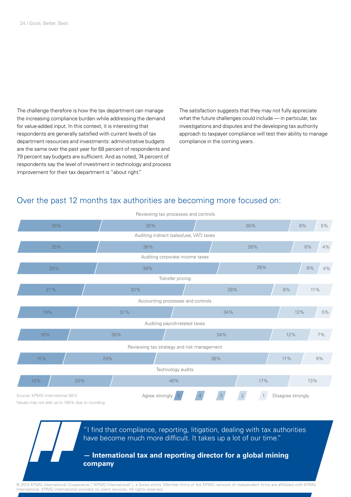The challenge therefore is how the tax department can manage the increasing compliance burden while addressing the demand for value-added input. In this context, it is interesting that respondents are generally satisfied with current levels of tax department resources and investments: administrative budgets are the same over the past year for 68 percent of respondents and 79 percent say budgets are sufficient. And as noted, 74 percent of respondents say the level of investment in technology and process improvement for their tax department is "about right."

The satisfaction suggests that they may not fully appreciate what the future challenges could include — in particular, tax investigations and disputes and the developing tax authority approach to taxpayer compliance will test their ability to manage compliance in the coming years.

#### Over the past 12 months tax authorities are becoming more focused on:



"I find that compliance, reporting, litigation, dealing with tax authorities have become much more difficult. It takes up a lot of our time."

#### **— International tax and reporting director for a global mining company**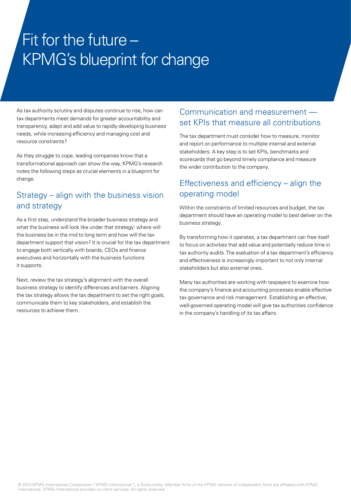## Fit for the future – KPMG's blueprint for change

As tax authority scrutiny and disputes continue to rise, how can tax departments meet demands for greater accountability and transparency, adapt and add value to rapidly developing business needs, while increasing efficiency and managing cost and resource constraints?

As they struggle to cope, leading companies know that a transformational approach can show the way. KPMG's research notes the following steps as crucial elements in a blueprint for change.

### Strategy – align with the business vision and strategy

As a first step, understand the broader business strategy and what the business will look like under that strategy: where will the business be in the mid to long term and how will the tax department support that vision? It is crucial for the tax department to engage both vertically with boards, CEOs and finance executives and horizontally with the business functions it supports.

Next, review the tax strategy's alignment with the overall business strategy to identify differences and barriers. Aligning the tax strategy allows the tax department to set the right goals, communicate them to key stakeholders, and establish the resources to achieve them.

#### Communication and measurement set KPIs that measure all contributions

The tax department must consider how to measure, monitor and report on performance to multiple internal and external stakeholders. A key step is to set KPIs, benchmarks and scorecards that go beyond timely compliance and measure the wider contribution to the company.

### Effectiveness and efficiency – align the operating model

Within the constraints of limited resources and budget, the tax department should have an operating model to best deliver on the business strategy.

By transforming how it operates, a tax department can free itself to focus on activities that add value and potentially reduce time in tax authority audits. The evaluation of a tax department's efficiency and effectiveness is increasingly important to not only internal stakeholders but also external ones.

Many tax authorities are working with taxpayers to examine how the company's finance and accounting processes enable effective tax governance and risk management. Establishing an effective, well-governed operating model will give tax authorities confidence in the company's handling of its tax affairs.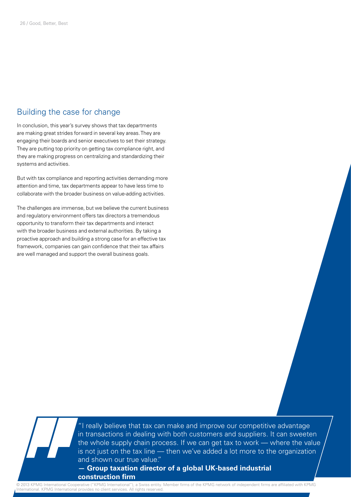#### Building the case for change

In conclusion, this year's survey shows that tax departments are making great strides forward in several key areas. They are engaging their boards and senior executives to set their strategy. They are putting top priority on getting tax compliance right, and they are making progress on centralizing and standardizing their systems and activities.

But with tax compliance and reporting activities demanding more attention and time, tax departments appear to have less time to collaborate with the broader business on value-adding activities.

The challenges are immense, but we believe the current business and regulatory environment offers tax directors a tremendous opportunity to transform their tax departments and interact with the broader business and external authorities. By taking a proactive approach and building a strong case for an effective tax framework, companies can gain confidence that their tax affairs are well managed and support the overall business goals.

> "I really believe that tax can make and improve our competitive advantage in transactions in dealing with both customers and suppliers. It can sweeten the whole supply chain process. If we can get tax to work — where the value is not just on the tax line — then we've added a lot more to the organization and shown our true value."

#### **— Group taxation director of a global UK-based industrial construction firm**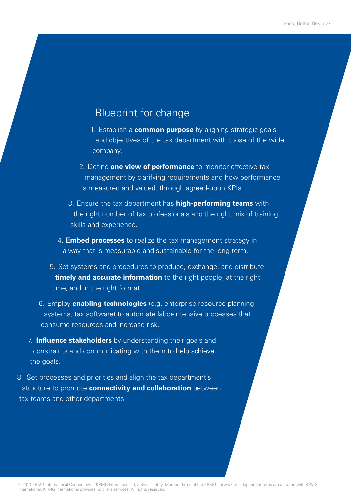## Blueprint for change

- 1. Establish a **common purpose** by aligning strategic goals and objectives of the tax department with those of the wider company.
- 2. Define **one view of performance** to monitor effective tax management by clarifying requirements and how performance is measured and valued, through agreed-upon KPIs.
- 3. Ensure the tax department has **high-performing teams** with the right number of tax professionals and the right mix of training, skills and experience.
- 4. **Embed processes** to realize the tax management strategy in a way that is measurable and sustainable for the long term.
- 5. Set systems and procedures to produce, exchange, and distribute **timely and accurate information** to the right people, at the right time, and in the right format.
- 6. Employ **enabling technologies** (e.g. enterprise resource planning systems, tax software) to automate labor-intensive processes that consume resources and increase risk.
- 7. **Influence stakeholders** by understanding their goals and constraints and communicating with them to help achieve the goals.
- 8. Set processes and priorities and align the tax department's structure to promote **connectivity and collaboration** between tax teams and other departments.